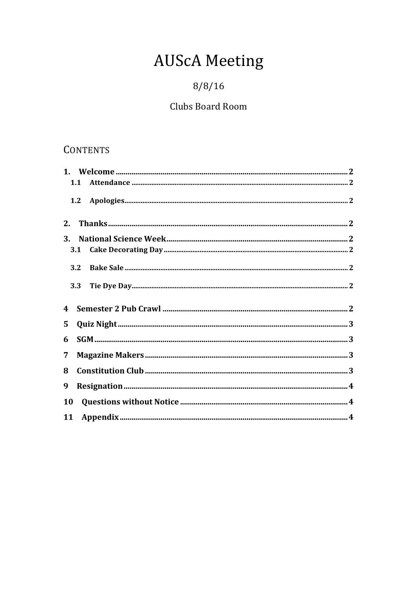# **AUScA Meeting**

# $8/8/16$

# Clubs Board Room

# CONTENTS

|           | 1.1 |  |
|-----------|-----|--|
|           | 1.2 |  |
| 2.        |     |  |
| <b>3.</b> |     |  |
|           |     |  |
|           | 3.2 |  |
|           | 3.3 |  |
|           |     |  |
| 4         |     |  |
| 5         |     |  |
| 6         |     |  |
| 7         |     |  |
| 8         |     |  |
| 9         |     |  |
| <b>10</b> |     |  |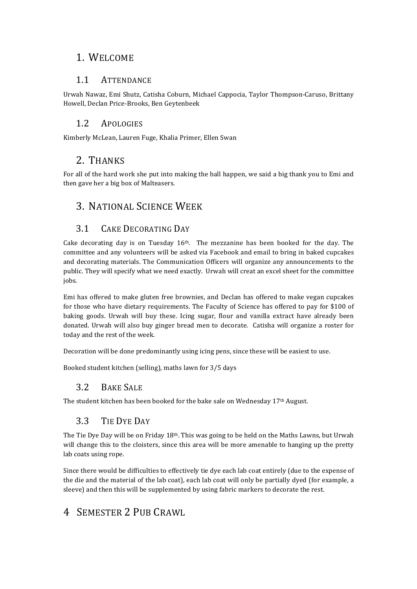## 1. WELCOME

#### 1.1 ATTENDANCE

Urwah Nawaz, Emi Shutz, Catisha Coburn, Michael Cappocia, Taylor Thompson-Caruso, Brittany Howell, Declan Price-Brooks, Ben Geytenbeek

#### 1.2 APOLOGIES

Kimberly McLean, Lauren Fuge, Khalia Primer, Ellen Swan

# 2. THANKS

For all of the hard work she put into making the ball happen, we said a big thank you to Emi and then gave her a big box of Malteasers.

# 3. NATIONAL SCIENCE WEEK

#### 3.1 CAKE DECORATING DAY

Cake decorating day is on Tuesday  $16<sup>th</sup>$ . The mezzanine has been booked for the day. The committee and any volunteers will be asked via Facebook and email to bring in baked cupcakes and decorating materials. The Communication Officers will organize any announcements to the public. They will specify what we need exactly. Urwah will creat an excel sheet for the committee jobs. 

Emi has offered to make gluten free brownies, and Declan has offered to make vegan cupcakes for those who have dietary requirements. The Faculty of Science has offered to pay for \$100 of baking goods. Urwah will buy these. Icing sugar, flour and vanilla extract have already been donated. Urwah will also buy ginger bread men to decorate. Catisha will organize a roster for today and the rest of the week.

Decoration will be done predominantly using icing pens, since these will be easiest to use.

Booked student kitchen (selling), maths lawn for 3/5 days

#### 3.2 BAKE SALE

The student kitchen has been booked for the bake sale on Wednesday 17<sup>th</sup> August.

#### 3.3 TIE DYE DAY

The Tie Dye Day will be on Friday  $18<sup>th</sup>$ . This was going to be held on the Maths Lawns, but Urwah will change this to the cloisters, since this area will be more amenable to hanging up the pretty lab coats using rope.

Since there would be difficulties to effectively tie dye each lab coat entirely (due to the expense of the die and the material of the lab coat), each lab coat will only be partially dyed (for example, a sleeve) and then this will be supplemented by using fabric markers to decorate the rest.

# 4 SEMESTER 2 PUB CRAWL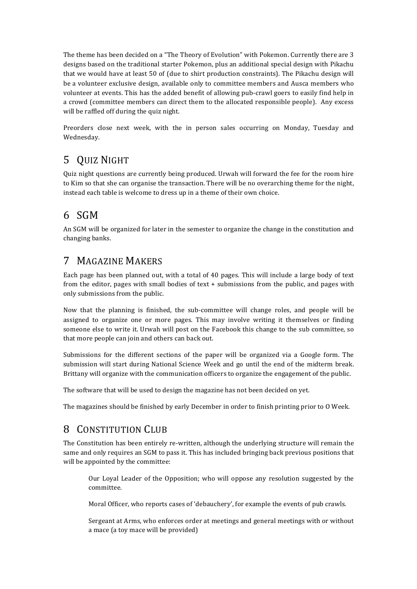The theme has been decided on a "The Theory of Evolution" with Pokemon. Currently there are 3 designs based on the traditional starter Pokemon, plus an additional special design with Pikachu that we would have at least 50 of (due to shirt production constraints). The Pikachu design will be a volunteer exclusive design, available only to committee members and Ausca members who volunteer at events. This has the added benefit of allowing pub-crawl goers to easily find help in a crowd (committee members can direct them to the allocated responsible people). Any excess will be raffled off during the quiz night.

Preorders close next week, with the in person sales occurring on Monday, Tuesday and Wednesday. 

# 5 QUIZ NIGHT

Quiz night questions are currently being produced. Urwah will forward the fee for the room hire to Kim so that she can organise the transaction. There will be no overarching theme for the night, instead each table is welcome to dress up in a theme of their own choice.

# 6 SGM

An SGM will be organized for later in the semester to organize the change in the constitution and changing banks.

## 7 MAGAZINE MAKERS

Each page has been planned out, with a total of 40 pages. This will include a large body of text from the editor, pages with small bodies of text  $+$  submissions from the public, and pages with only submissions from the public.

Now that the planning is finished, the sub-committee will change roles, and people will be assigned to organize one or more pages. This may involve writing it themselves or finding someone else to write it. Urwah will post on the Facebook this change to the sub committee, so that more people can join and others can back out.

Submissions for the different sections of the paper will be organized via a Google form. The submission will start during National Science Week and go until the end of the midterm break. Brittany will organize with the communication officers to organize the engagement of the public.

The software that will be used to design the magazine has not been decided on yet.

The magazines should be finished by early December in order to finish printing prior to O Week.

# 8 CONSTITUTION CLUB

The Constitution has been entirely re-written, although the underlying structure will remain the same and only requires an SGM to pass it. This has included bringing back previous positions that will be appointed by the committee:

Our Loyal Leader of the Opposition; who will oppose any resolution suggested by the committee. 

Moral Officer, who reports cases of 'debauchery', for example the events of pub crawls.

Sergeant at Arms, who enforces order at meetings and general meetings with or without a mace (a toy mace will be provided)